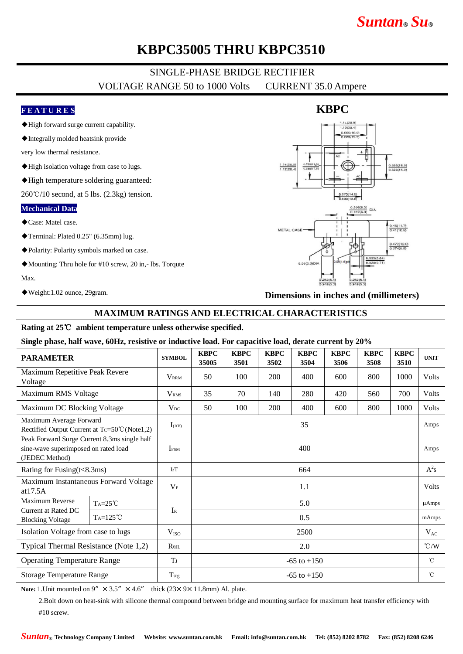# *Suntan***®** *Su***®**

## **KBPC35005 THRU KBPC3510**

## SINGLE-PHASE BRIDGE RECTIFIER VOLTAGE RANGE 50 to 1000 Volts CURRENT 35.0 Ampere

#### **F E A T U R E S**

- ◆High forward surge current capability.
- ◆Integrally molded heatsink provide

very low thermal resistance.

- ◆High isolation voltage from case to lugs.
- ◆High temperature soldering guaranteed:

 $260^{\circ}$ C/10 second, at 5 lbs. (2.3kg) tension.

#### **Mechanical Data**

- ◆Case: Matel case.
- ◆Terminal: Plated 0.25" (6.35mm) lug.
- ◆Polarity: Polarity symbols marked on case.
- ◆Mounting: Thru hole for #10 screw, 20 in,- lbs. Torqute

Max.

◆Weight:1.02 ounce, 29gram.

# $0.670(14.6)$  $\frac{0.46(11.7)}{0.41(10.6)}$ METAL CASE  $\frac{0.472(12.0)}{0.374(9.5)}$

**Dimensions in inches and (millimeters)**

#### **MAXIMUM RATINGS AND ELECTRICAL CHARACTERISTICS**

#### **Rating at 25**℃ **ambient temperature unless otherwise specified.**

**Single phase, half wave, 60Hz, resistive or inductive load. For capacitive load, derate current by 20%**

| <b>PARAMETER</b>                                                                                       |                   | <b>SYMBOL</b>    | <b>KBPC</b><br>35005 | <b>KBPC</b><br>3501 | <b>KBPC</b><br>3502 | <b>KBPC</b><br>3504 | <b>KBPC</b><br>3506 | <b>KBPC</b><br>3508 | <b>KBPC</b><br>3510 | <b>UNIT</b>  |
|--------------------------------------------------------------------------------------------------------|-------------------|------------------|----------------------|---------------------|---------------------|---------------------|---------------------|---------------------|---------------------|--------------|
| Maximum Repetitive Peak Revere<br>Voltage                                                              |                   | <b>VRRM</b>      | 50                   | 100                 | 200                 | 400                 | 600                 | 800                 | 1000                | <b>Volts</b> |
| Maximum RMS Voltage                                                                                    |                   | V <sub>RMS</sub> | 35                   | 70                  | 140                 | 280                 | 420                 | 560                 | 700                 | Volts        |
| Maximum DC Blocking Voltage                                                                            |                   | $V_{DC}$         | 50                   | 100                 | 200                 | 400                 | 600                 | 800                 | 1000                | Volts        |
| Maximum Average Forward<br>Rectified Output Current at $Tc = 50^{\circ}C(Note1,2)$                     |                   | $I_{(AV)}$       | 35                   |                     |                     |                     |                     |                     |                     | Amps         |
| Peak Forward Surge Current 8.3ms single half<br>sine-wave superimposed on rated load<br>(JEDEC Method) |                   | <b>IFSM</b>      | 400                  |                     |                     |                     |                     |                     |                     | Amps         |
| Rating for Fusing(t<8.3ms)                                                                             |                   | I2T              | 664                  |                     |                     |                     |                     |                     |                     | $A^2s$       |
| Maximum Instantaneous Forward Voltage<br>at $17.5A$                                                    |                   | $V_{\rm F}$      | 1.1                  |                     |                     |                     |                     |                     |                     | <b>Volts</b> |
| Maximum Reverse<br>Current at Rated DC<br><b>Blocking Voltage</b>                                      | $Ta=25^{\circ}C$  | $I_{R}$          | 5.0                  |                     |                     |                     |                     |                     |                     | $\mu$ Amps   |
|                                                                                                        | $Ta=125^{\circ}C$ |                  | 0.5                  |                     |                     |                     |                     |                     |                     | mAmps        |
| Isolation Voltage from case to lugs                                                                    |                   | V <sub>ISO</sub> | 2500                 |                     |                     |                     |                     |                     |                     | $V_{AC}$     |
| Typical Thermal Resistance (Note 1,2)                                                                  |                   | $R_{\theta IL}$  | 2.0                  |                     |                     |                     |                     |                     |                     |              |
| <b>Operating Temperature Range</b>                                                                     |                   | TJ               | $-65$ to $+150$      |                     |                     |                     |                     |                     |                     | $^{\circ}C$  |
| <b>Storage Temperature Range</b>                                                                       |                   | T <sub>stg</sub> | $-65$ to $+150$      |                     |                     |                     |                     |                     |                     | $^{\circ}$ C |

**Note:** 1. Unit mounted on 9"  $\times$  3.5"  $\times$  4.6" thick (23 $\times$  9 $\times$  11.8mm) Al. plate.

2.Bolt down on heat-sink with silicone thermal compound between bridge and mounting surface for maximum heat transfer efficiency with #10 screw.

#### **KBPC**